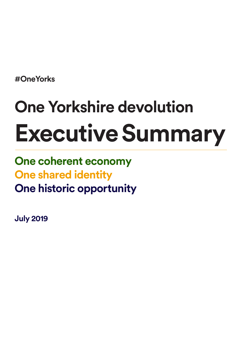**#OneYorks**

# **One Yorkshire devolution Executive Summary**

**One coherent economy One shared identity One historic opportunity**

**July 2019**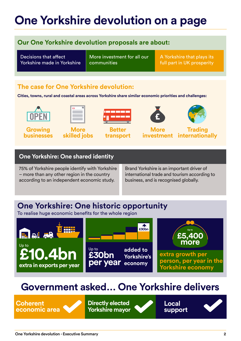### **One Yorkshire devolution on a page**

### **Our One Yorkshire devolution proposals are about:**

Decisions that affect Yorkshire made in Yorkshire More investment for all our communities

A Yorkshire that plays its full part in UK prosperity

### **The case for One Yorkshire devolution:**

**Cities, towns, rural and coastal areas across Yorkshire share similar economic priorities and challenges:**



**Growing businesses**



**More skilled jobs**



**Better transport**



**More investment**

**Trading internationally**

#### **One Yorkshire: One shared identity**

75% of Yorkshire people identify with Yorkshire – more than any other region in the country according to an independent economic study.

Brand Yorkshire is an important driver of international trade and tourism according to business, and is recognised globally.

### **One Yorkshire: One historic opportunity**

To realise huge economic benefits for the whole region



### **Government asked… One Yorkshire delivers**

**Coherent economic area** **Directly elected Yorkshire mayor**

**Local support**

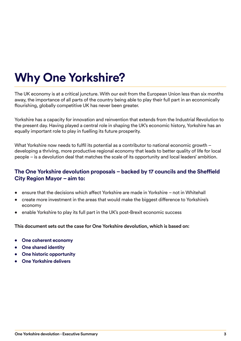# **Why One Yorkshire?**

The UK economy is at a critical juncture. With our exit from the European Union less than six months away, the importance of all parts of the country being able to play their full part in an economically flourishing, globally competitive UK has never been greater.

Yorkshire has a capacity for innovation and reinvention that extends from the Industrial Revolution to the present day. Having played a central role in shaping the UK's economic history, Yorkshire has an equally important role to play in fuelling its future prosperity.

What Yorkshire now needs to fulfil its potential as a contributor to national economic growth – developing a thriving, more productive regional economy that leads to better quality of life for local people – is a devolution deal that matches the scale of its opportunity and local leaders' ambition.

#### **The One Yorkshire devolution proposals – backed by 17 councils and the Sheffield City Region Mayor – aim to:**

- ensure that the decisions which affect Yorkshire are made in Yorkshire not in Whitehall
- create more investment in the areas that would make the biggest difference to Yorkshire's economy
- enable Yorkshire to play its full part in the UK's post-Brexit economic success

#### **This document sets out the case for One Yorkshire devolution, which is based on:**

- **• One coherent economy**
- **• One shared identity**
- **• One historic opportunity**
- **• One Yorkshire delivers**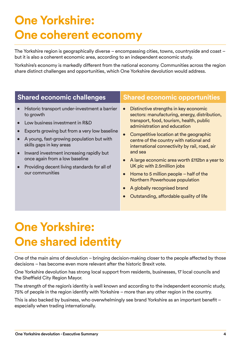# **One Yorkshire: One coherent economy**

The Yorkshire region is geographically diverse – encompassing cities, towns, countryside and coast – but it is also a coherent economic area, according to an independent economic study.

Yorkshire's economy is markedly different from the national economy. Communities across the region share distinct challenges and opportunities, which One Yorkshire devolution would address.

| <b>Shared economic challenges</b>                                                                                                                                                                                                                                                                                                                                                                | <b>Shared economic opportunities</b>                                                                                                                                                                                                                                                                                                                                                                                                                                                                               |
|--------------------------------------------------------------------------------------------------------------------------------------------------------------------------------------------------------------------------------------------------------------------------------------------------------------------------------------------------------------------------------------------------|--------------------------------------------------------------------------------------------------------------------------------------------------------------------------------------------------------------------------------------------------------------------------------------------------------------------------------------------------------------------------------------------------------------------------------------------------------------------------------------------------------------------|
| Historic transport under-investment a barrier<br>$\bullet$<br>to growth<br>Low business investment in R&D<br>Exports growing but from a very low baseline<br>A young, fast-growing population but with<br>skills gaps in key areas<br>Inward investment increasing rapidly but<br>$\bullet$<br>once again from a low baseline<br>Providing decent living standards for all of<br>our communities | Distinctive strengths in key economic<br>$\bullet$<br>sectors: manufacturing, energy, distribution,<br>transport, food, tourism, health, public<br>administration and education<br>Competitive location at the geographic<br>centre of the country with national and<br>international connectivity by rail, road, air<br>and sea<br>A large economic area worth £112bn a year to<br>UK plc with 2.5 million jobs<br>Home to 5 million people $-$ half of the<br>$\bullet$<br><b>Northern Powerhouse population</b> |

- A globally recognised brand
- Outstanding, affordable quality of life

# **One Yorkshire: One shared identity**

One of the main aims of devolution – bringing decision-making closer to the people affected by those decisions – has become even more relevant after the historic Brexit vote.

One Yorkshire devolution has strong local support from residents, businesses, 17 local councils and the Sheffield City Region Mayor.

The strength of the region's identity is well known and according to the independent economic study, 75% of people in the region identify with Yorkshire – more than any other region in the country.

This is also backed by business, who overwhelmingly see brand Yorkshire as an important benefit – especially when trading internationally.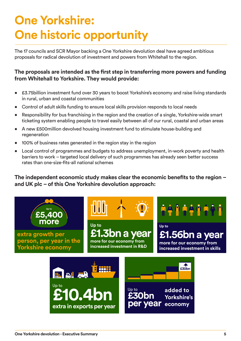# **One Yorkshire: One historic opportunity**

The 17 councils and SCR Mayor backing a One Yorkshire devolution deal have agreed ambitious proposals for radical devolution of investment and powers from Whitehall to the region.

#### **The proposals are intended as the first step in transferring more powers and funding from Whitehall to Yorkshire. They would provide:**

- £3.75billion investment fund over 30 years to boost Yorkshire's economy and raise living standards in rural, urban and coastal communities
- Control of adult skills funding to ensure local skills provision responds to local needs
- Responsibility for bus franchising in the region and the creation of a single, Yorkshire-wide smart ticketing system enabling people to travel easily between all of our rural, coastal and urban areas
- A new £500million devolved housing investment fund to stimulate house-building and regeneration
- 100% of business rates generated in the region stay in the region
- Local control of programmes and budgets to address unemployment, in-work poverty and health barriers to work – targeted local delivery of such programmes has already seen better success rates than one-size-fits-all national schemes

**The independent economic study makes clear the economic benefits to the region – and UK plc – of this One Yorkshire devolution approach:**